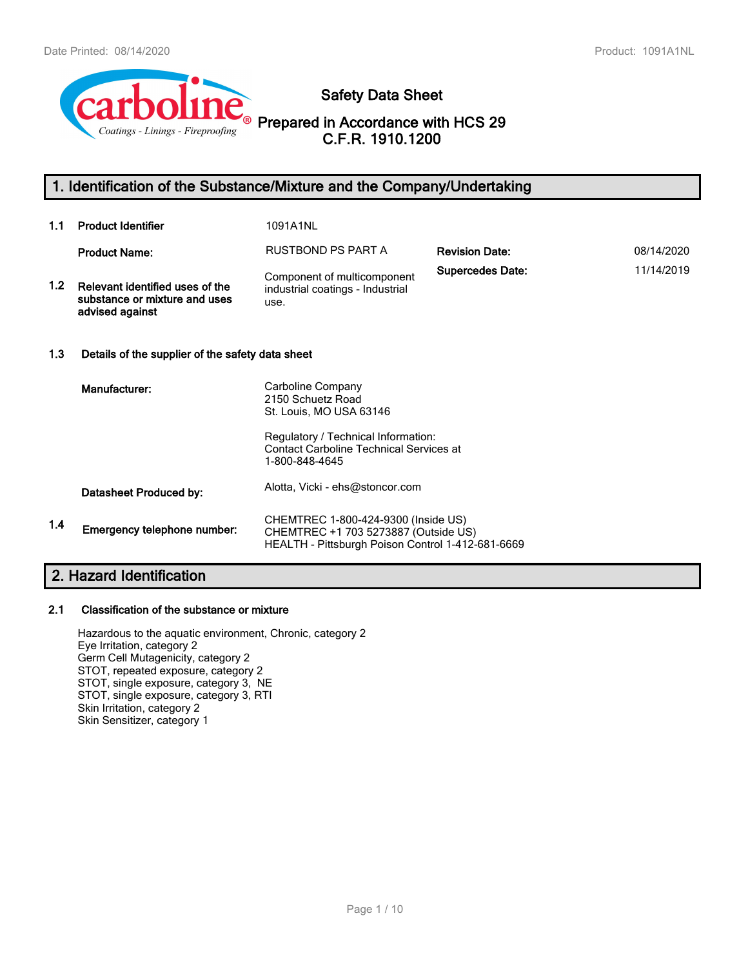

# **Safety Data Sheet**

**Prepared in Accordance with HCS 29 C.F.R. 1910.1200**

# **1. Identification of the Substance/Mixture and the Company/Undertaking**

| 1.1 | <b>Product Identifier</b>                                                           | 1091A1NL                                                                                                                                                                     |                         |            |
|-----|-------------------------------------------------------------------------------------|------------------------------------------------------------------------------------------------------------------------------------------------------------------------------|-------------------------|------------|
|     | <b>Product Name:</b>                                                                | RUSTBOND PS PART A                                                                                                                                                           | <b>Revision Date:</b>   | 08/14/2020 |
| 1.2 | Relevant identified uses of the<br>substance or mixture and uses<br>advised against | Component of multicomponent<br>industrial coatings - Industrial<br>use.                                                                                                      | <b>Supercedes Date:</b> | 11/14/2019 |
| 1.3 | Details of the supplier of the safety data sheet                                    |                                                                                                                                                                              |                         |            |
|     | Manufacturer:                                                                       | Carboline Company<br>2150 Schuetz Road<br>St. Louis, MO USA 63146<br>Regulatory / Technical Information:<br><b>Contact Carboline Technical Services at</b><br>1-800-848-4645 |                         |            |
|     | Datasheet Produced by:                                                              | Alotta, Vicki - ehs@stoncor.com                                                                                                                                              |                         |            |
| 1.4 | Emergency telephone number:                                                         | CHEMTREC 1-800-424-9300 (Inside US)<br>CHEMTREC +1 703 5273887 (Outside US)<br>HEALTH - Pittsburgh Poison Control 1-412-681-6669                                             |                         |            |

# **2. Hazard Identification**

#### **2.1 Classification of the substance or mixture**

Hazardous to the aquatic environment, Chronic, category 2 Eye Irritation, category 2 Germ Cell Mutagenicity, category 2 STOT, repeated exposure, category 2 STOT, single exposure, category 3, NE STOT, single exposure, category 3, RTI Skin Irritation, category 2 Skin Sensitizer, category 1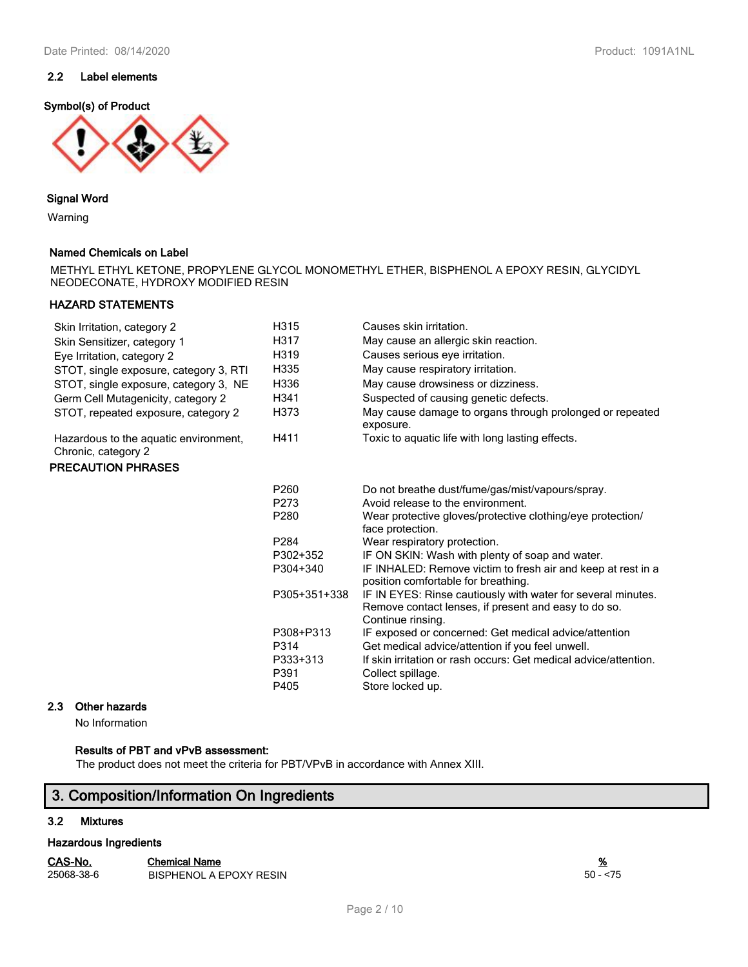# **2.2 Label elements**

#### **Symbol(s) of Product**



#### **Signal Word**

Warning

#### **Named Chemicals on Label**

METHYL ETHYL KETONE, PROPYLENE GLYCOL MONOMETHYL ETHER, BISPHENOL A EPOXY RESIN, GLYCIDYL NEODECONATE, HYDROXY MODIFIED RESIN

## **HAZARD STATEMENTS**

| Skin Irritation, category 2                                  | H315                                          | Causes skin irritation.                                                                                                                                                                                                |
|--------------------------------------------------------------|-----------------------------------------------|------------------------------------------------------------------------------------------------------------------------------------------------------------------------------------------------------------------------|
| Skin Sensitizer, category 1                                  | H317                                          | May cause an allergic skin reaction.                                                                                                                                                                                   |
| Eye Irritation, category 2                                   | H319                                          | Causes serious eye irritation.                                                                                                                                                                                         |
| STOT, single exposure, category 3, RTI                       | H335                                          | May cause respiratory irritation.                                                                                                                                                                                      |
| STOT, single exposure, category 3, NE                        | H336                                          | May cause drowsiness or dizziness.                                                                                                                                                                                     |
| Germ Cell Mutagenicity, category 2                           | H341                                          | Suspected of causing genetic defects.                                                                                                                                                                                  |
| STOT, repeated exposure, category 2                          | H373                                          | May cause damage to organs through prolonged or repeated<br>exposure.                                                                                                                                                  |
| Hazardous to the aquatic environment,<br>Chronic, category 2 | H411                                          | Toxic to aquatic life with long lasting effects.                                                                                                                                                                       |
| <b>PRECAUTION PHRASES</b>                                    |                                               |                                                                                                                                                                                                                        |
|                                                              | P260                                          | Do not breathe dust/fume/gas/mist/vapours/spray.                                                                                                                                                                       |
|                                                              | P273                                          | Avoid release to the environment.                                                                                                                                                                                      |
|                                                              | P280                                          | Wear protective gloves/protective clothing/eye protection/<br>face protection.                                                                                                                                         |
|                                                              | P <sub>284</sub>                              | Wear respiratory protection.                                                                                                                                                                                           |
|                                                              | P302+352                                      | IF ON SKIN: Wash with plenty of soap and water.                                                                                                                                                                        |
|                                                              | P304+340                                      | IF INHALED: Remove victim to fresh air and keep at rest in a<br>position comfortable for breathing.                                                                                                                    |
|                                                              | P305+351+338                                  | IF IN EYES: Rinse cautiously with water for several minutes.<br>Remove contact lenses, if present and easy to do so.<br>Continue rinsing.                                                                              |
|                                                              | P308+P313<br>P314<br>P333+313<br>P391<br>P405 | IF exposed or concerned: Get medical advice/attention<br>Get medical advice/attention if you feel unwell.<br>If skin irritation or rash occurs: Get medical advice/attention.<br>Collect spillage.<br>Store locked up. |

### **2.3 Other hazards**

No Information

## **Results of PBT and vPvB assessment:**

The product does not meet the criteria for PBT/VPvB in accordance with Annex XIII.

# **3. Composition/Information On Ingredients**

#### **3.2 Mixtures**

#### **Hazardous Ingredients**

| CAS-No.    | Chemical Name                  | <u>%</u>   |
|------------|--------------------------------|------------|
| 25068-38-6 | <b>BISPHENOL A EPOXY RESIN</b> | $50 - 575$ |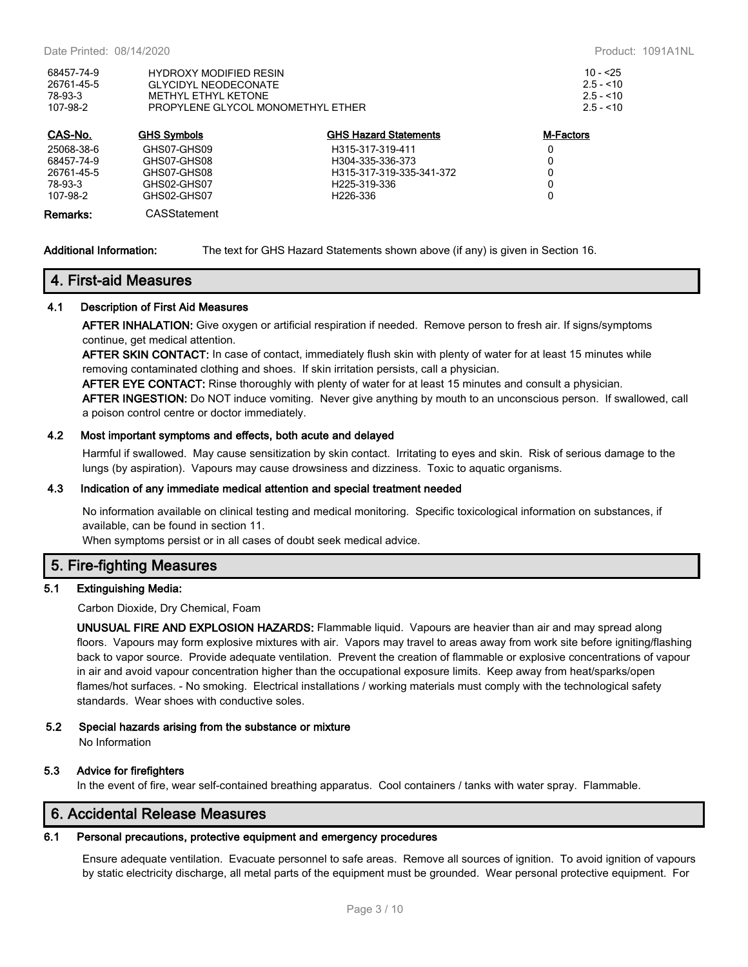| 68457-74-9 | <b>HYDROXY MODIFIED RESIN</b>     | $10 - 25$  |
|------------|-----------------------------------|------------|
| 26761-45-5 | GLYCIDYL NEODECONATE              | $2.5 - 10$ |
| 78-93-3    | METHYL FTHYL KETONE               | $2.5 - 10$ |
| 107-98-2   | PROPYLENE GLYCOL MONOMETHYL ETHER | $2.5 - 10$ |
|            |                                   |            |

| CAS-No.    | <b>GHS Symbols</b> | <b>GHS Hazard Statements</b> | M-Factors |
|------------|--------------------|------------------------------|-----------|
| 25068-38-6 | GHS07-GHS09        | H315-317-319-411             | 0         |
| 68457-74-9 | GHS07-GHS08        | H304-335-336-373             | 0         |
| 26761-45-5 | GHS07-GHS08        | H315-317-319-335-341-372     | 0         |
| 78-93-3    | GHS02-GHS07        | H <sub>225</sub> -319-336    | 0         |
| 107-98-2   | GHS02-GHS07        | H <sub>226</sub> -336        | 0         |
| Remarks:   | CASStatement       |                              |           |

**Additional Information:** The text for GHS Hazard Statements shown above (if any) is given in Section 16.

# **4. First-aid Measures**

#### **4.1 Description of First Aid Measures**

**AFTER INHALATION:** Give oxygen or artificial respiration if needed. Remove person to fresh air. If signs/symptoms continue, get medical attention.

**AFTER SKIN CONTACT:** In case of contact, immediately flush skin with plenty of water for at least 15 minutes while removing contaminated clothing and shoes. If skin irritation persists, call a physician.

**AFTER EYE CONTACT:** Rinse thoroughly with plenty of water for at least 15 minutes and consult a physician. **AFTER INGESTION:** Do NOT induce vomiting. Never give anything by mouth to an unconscious person. If swallowed, call

a poison control centre or doctor immediately.

#### **4.2 Most important symptoms and effects, both acute and delayed**

Harmful if swallowed. May cause sensitization by skin contact. Irritating to eyes and skin. Risk of serious damage to the lungs (by aspiration). Vapours may cause drowsiness and dizziness. Toxic to aquatic organisms.

#### **4.3 Indication of any immediate medical attention and special treatment needed**

No information available on clinical testing and medical monitoring. Specific toxicological information on substances, if available, can be found in section 11.

When symptoms persist or in all cases of doubt seek medical advice.

## **5. Fire-fighting Measures**

#### **5.1 Extinguishing Media:**

Carbon Dioxide, Dry Chemical, Foam

**UNUSUAL FIRE AND EXPLOSION HAZARDS:** Flammable liquid. Vapours are heavier than air and may spread along floors. Vapours may form explosive mixtures with air. Vapors may travel to areas away from work site before igniting/flashing back to vapor source. Provide adequate ventilation. Prevent the creation of flammable or explosive concentrations of vapour in air and avoid vapour concentration higher than the occupational exposure limits. Keep away from heat/sparks/open flames/hot surfaces. - No smoking. Electrical installations / working materials must comply with the technological safety standards. Wear shoes with conductive soles.

#### **5.2 Special hazards arising from the substance or mixture**

No Information

#### **5.3 Advice for firefighters**

In the event of fire, wear self-contained breathing apparatus. Cool containers / tanks with water spray. Flammable.

# **6. Accidental Release Measures**

## **6.1 Personal precautions, protective equipment and emergency procedures**

Ensure adequate ventilation. Evacuate personnel to safe areas. Remove all sources of ignition. To avoid ignition of vapours by static electricity discharge, all metal parts of the equipment must be grounded. Wear personal protective equipment. For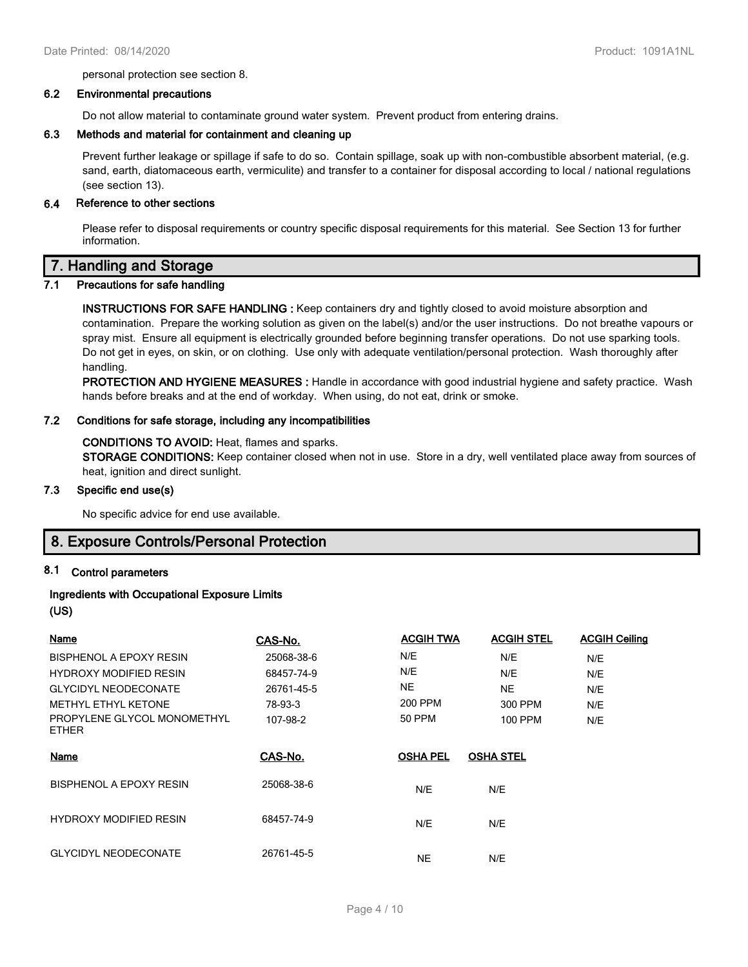personal protection see section 8.

#### **6.2 Environmental precautions**

Do not allow material to contaminate ground water system. Prevent product from entering drains.

#### **6.3 Methods and material for containment and cleaning up**

Prevent further leakage or spillage if safe to do so. Contain spillage, soak up with non-combustible absorbent material, (e.g. sand, earth, diatomaceous earth, vermiculite) and transfer to a container for disposal according to local / national regulations (see section 13).

#### **6.4 Reference to other sections**

Please refer to disposal requirements or country specific disposal requirements for this material. See Section 13 for further information.

# **7. Handling and Storage**

# **7.1 Precautions for safe handling**

**INSTRUCTIONS FOR SAFE HANDLING :** Keep containers dry and tightly closed to avoid moisture absorption and contamination. Prepare the working solution as given on the label(s) and/or the user instructions. Do not breathe vapours or spray mist. Ensure all equipment is electrically grounded before beginning transfer operations. Do not use sparking tools. Do not get in eyes, on skin, or on clothing. Use only with adequate ventilation/personal protection. Wash thoroughly after handling.

**PROTECTION AND HYGIENE MEASURES :** Handle in accordance with good industrial hygiene and safety practice. Wash hands before breaks and at the end of workday. When using, do not eat, drink or smoke.

#### **7.2 Conditions for safe storage, including any incompatibilities**

#### **CONDITIONS TO AVOID:** Heat, flames and sparks.

**STORAGE CONDITIONS:** Keep container closed when not in use. Store in a dry, well ventilated place away from sources of heat, ignition and direct sunlight.

#### **7.3 Specific end use(s)**

No specific advice for end use available.

# **8. Exposure Controls/Personal Protection**

#### **8.1 Control parameters**

# **Ingredients with Occupational Exposure Limits**

## **(US)**

| <b>Name</b>                                 | CAS-No.    | <b>ACGIH TWA</b> | <b>ACGIH STEL</b> | <b>ACGIH Ceiling</b> |
|---------------------------------------------|------------|------------------|-------------------|----------------------|
| BISPHENOL A EPOXY RESIN                     | 25068-38-6 | N/E              | N/E               | N/E                  |
| <b>HYDROXY MODIFIED RESIN</b>               | 68457-74-9 | N/E              | N/E               | N/E                  |
| <b>GLYCIDYL NEODECONATE</b>                 | 26761-45-5 | NE.              | <b>NE</b>         | N/E                  |
| <b>METHYL ETHYL KETONE</b>                  | 78-93-3    | 200 PPM          | 300 PPM           | N/E                  |
| PROPYLENE GLYCOL MONOMETHYL<br><b>ETHER</b> | 107-98-2   | 50 PPM           | 100 PPM           | N/E                  |
| Name                                        | CAS-No.    | <b>OSHA PEL</b>  | <b>OSHA STEL</b>  |                      |
| <b>BISPHENOL A EPOXY RESIN</b>              | 25068-38-6 | N/E              | N/E               |                      |
| <b>HYDROXY MODIFIED RESIN</b>               | 68457-74-9 | N/E              | N/E               |                      |
| <b>GLYCIDYL NEODECONATE</b>                 | 26761-45-5 | NΕ               | N/E               |                      |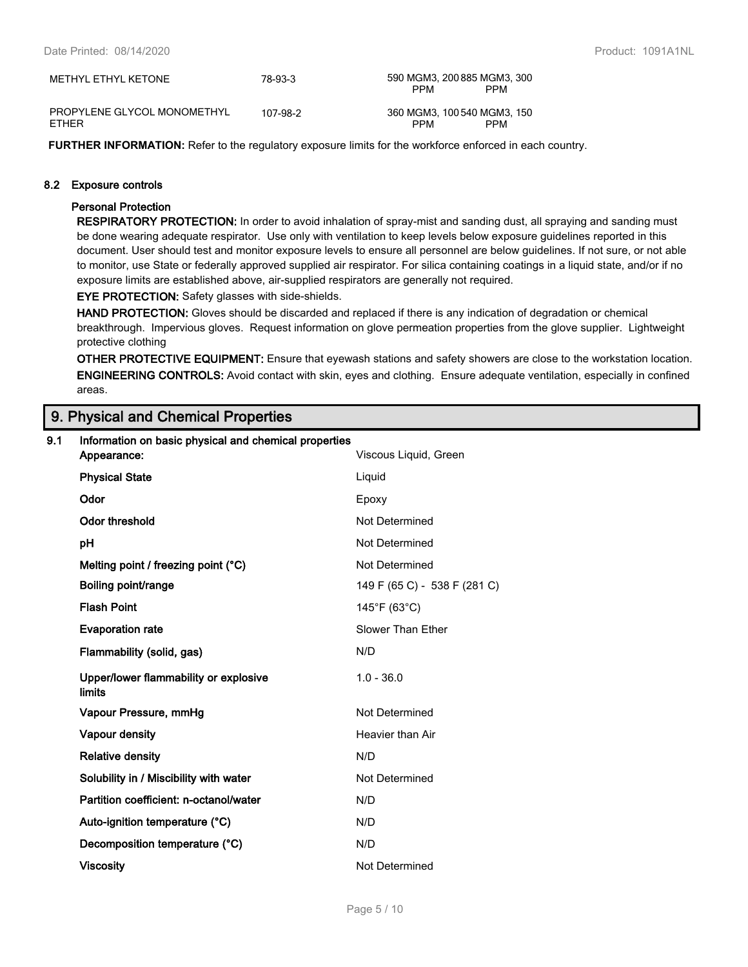| METHYL ETHYL KETONE                         | 78-93-3  | 590 MGM3, 200 885 MGM3, 300<br><b>PPM</b><br><b>PPM</b> |
|---------------------------------------------|----------|---------------------------------------------------------|
| PROPYLENE GLYCOL MONOMETHYL<br><b>FTHFR</b> | 107-98-2 | 360 MGM3, 100 540 MGM3, 150<br><b>PPM</b><br><b>PPM</b> |

**FURTHER INFORMATION:** Refer to the regulatory exposure limits for the workforce enforced in each country.

#### **8.2 Exposure controls**

#### **Personal Protection**

**RESPIRATORY PROTECTION:** In order to avoid inhalation of spray-mist and sanding dust, all spraying and sanding must be done wearing adequate respirator. Use only with ventilation to keep levels below exposure guidelines reported in this document. User should test and monitor exposure levels to ensure all personnel are below guidelines. If not sure, or not able to monitor, use State or federally approved supplied air respirator. For silica containing coatings in a liquid state, and/or if no exposure limits are established above, air-supplied respirators are generally not required.

**EYE PROTECTION:** Safety glasses with side-shields.

**HAND PROTECTION:** Gloves should be discarded and replaced if there is any indication of degradation or chemical breakthrough. Impervious gloves. Request information on glove permeation properties from the glove supplier. Lightweight protective clothing

**OTHER PROTECTIVE EQUIPMENT:** Ensure that eyewash stations and safety showers are close to the workstation location. **ENGINEERING CONTROLS:** Avoid contact with skin, eyes and clothing. Ensure adequate ventilation, especially in confined areas.

# **9. Physical and Chemical Properties**

| 9.1 | Information on basic physical and chemical properties<br>Viscous Liquid, Green<br>Appearance: |                              |  |
|-----|-----------------------------------------------------------------------------------------------|------------------------------|--|
|     | <b>Physical State</b>                                                                         | Liquid                       |  |
|     |                                                                                               |                              |  |
|     | Odor                                                                                          | Epoxy                        |  |
|     | <b>Odor threshold</b>                                                                         | Not Determined               |  |
|     | pH                                                                                            | Not Determined               |  |
|     | Melting point / freezing point (°C)                                                           | Not Determined               |  |
|     | Boiling point/range                                                                           | 149 F (65 C) - 538 F (281 C) |  |
|     | <b>Flash Point</b>                                                                            | 145°F (63°C)                 |  |
|     | <b>Evaporation rate</b>                                                                       | Slower Than Ether            |  |
|     | Flammability (solid, gas)                                                                     | N/D                          |  |
|     | Upper/lower flammability or explosive<br>limits                                               | $1.0 - 36.0$                 |  |
|     | Vapour Pressure, mmHg                                                                         | Not Determined               |  |
|     | Vapour density                                                                                | Heavier than Air             |  |
|     | <b>Relative density</b>                                                                       | N/D                          |  |
|     | Solubility in / Miscibility with water                                                        | Not Determined               |  |
|     | Partition coefficient: n-octanol/water                                                        | N/D                          |  |
|     | Auto-ignition temperature (°C)                                                                | N/D                          |  |
|     | Decomposition temperature (°C)                                                                | N/D                          |  |
|     | <b>Viscosity</b>                                                                              | Not Determined               |  |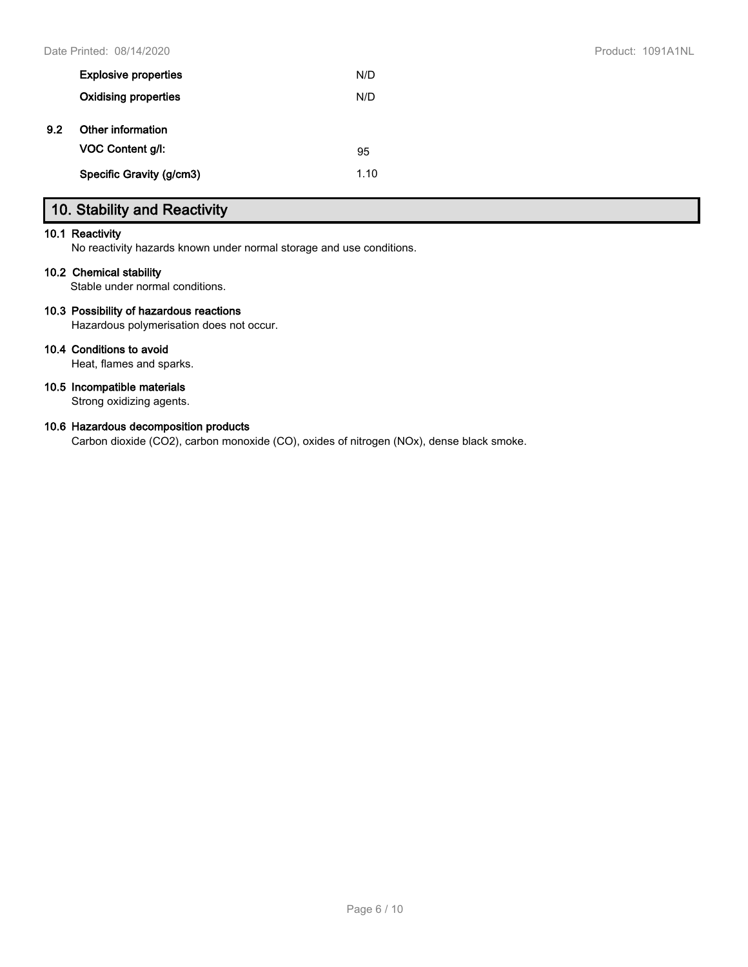|     | <b>Explosive properties</b> | N/D  |
|-----|-----------------------------|------|
|     | <b>Oxidising properties</b> | N/D  |
| 9.2 | Other information           |      |
|     | <b>VOC Content g/l:</b>     | 95   |
|     | Specific Gravity (g/cm3)    | 1.10 |

# **10. Stability and Reactivity**

#### **10.1 Reactivity**

No reactivity hazards known under normal storage and use conditions.

#### **10.2 Chemical stability**

Stable under normal conditions.

### **10.3 Possibility of hazardous reactions**

Hazardous polymerisation does not occur.

# **10.4 Conditions to avoid**

Heat, flames and sparks.

## **10.5 Incompatible materials**

Strong oxidizing agents.

### **10.6 Hazardous decomposition products**

Carbon dioxide (CO2), carbon monoxide (CO), oxides of nitrogen (NOx), dense black smoke.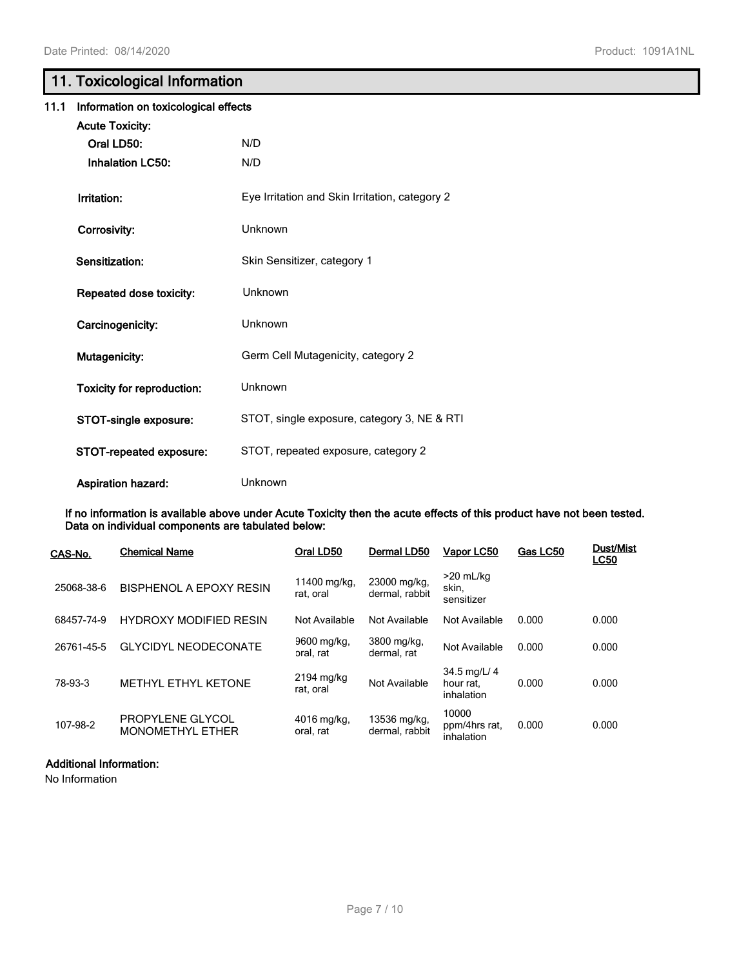# **11. Toxicological Information**

| 11.1 | Information on toxicological effects |                                                |
|------|--------------------------------------|------------------------------------------------|
|      | <b>Acute Toxicity:</b>               |                                                |
|      | Oral LD50:                           | N/D                                            |
|      | <b>Inhalation LC50:</b>              | N/D                                            |
|      | Irritation:                          | Eye Irritation and Skin Irritation, category 2 |
|      | Corrosivity:                         | Unknown                                        |
|      | Sensitization:                       | Skin Sensitizer, category 1                    |
|      | Repeated dose toxicity:              | Unknown                                        |
|      | Carcinogenicity:                     | Unknown                                        |
|      | <b>Mutagenicity:</b>                 | Germ Cell Mutagenicity, category 2             |
|      | <b>Toxicity for reproduction:</b>    | Unknown                                        |
|      | STOT-single exposure:                | STOT, single exposure, category 3, NE & RTI    |
|      | STOT-repeated exposure:              | STOT, repeated exposure, category 2            |
|      | <b>Aspiration hazard:</b>            | Unknown                                        |

**If no information is available above under Acute Toxicity then the acute effects of this product have not been tested. Data on individual components are tabulated below:**

| CAS-No.    | <b>Chemical Name</b>                        | Oral LD50                 | Dermal LD50                    | Vapor LC50                              | Gas LC50 | <b>Dust/Mist</b><br><b>LC50</b> |
|------------|---------------------------------------------|---------------------------|--------------------------------|-----------------------------------------|----------|---------------------------------|
| 25068-38-6 | BISPHENOL A EPOXY RESIN                     | 11400 mg/kg,<br>rat. oral | 23000 mg/kg,<br>dermal, rabbit | $>20$ mL/kg<br>skin,<br>sensitizer      |          |                                 |
| 68457-74-9 | <b>HYDROXY MODIFIED RESIN</b>               | Not Available             | Not Available                  | Not Available                           | 0.000    | 0.000                           |
| 26761-45-5 | <b>GLYCIDYL NEODECONATE</b>                 | 9600 mg/kg,<br>oral. rat  | 3800 mg/kg,<br>dermal. rat     | Not Available                           | 0.000    | 0.000                           |
| 78-93-3    | <b>METHYL ETHYL KETONE</b>                  | 2194 mg/kg<br>rat. oral   | Not Available                  | 34.5 mg/L/ 4<br>hour rat.<br>inhalation | 0.000    | 0.000                           |
| 107-98-2   | PROPYLENE GLYCOL<br><b>MONOMETHYL ETHER</b> | 4016 mg/kg,<br>oral, rat  | 13536 mg/kg,<br>dermal, rabbit | 10000<br>ppm/4hrs rat,<br>inhalation    | 0.000    | 0.000                           |

#### **Additional Information:**

No Information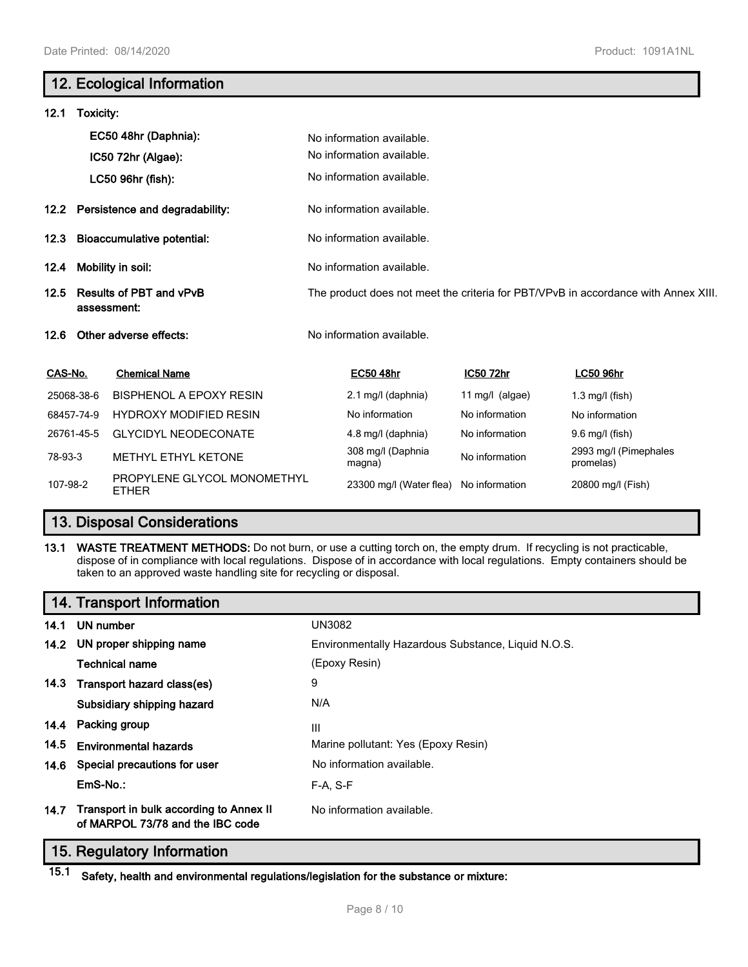# **12. Ecological Information 12.1 Toxicity: EC50 48hr (Daphnia):** No information available. No information available. **IC50 72hr (Algae):** LC50 96hr (fish): No information available. **12.2 Persistence and degradability:** No information available. **12.3 Bioaccumulative potential:** No information available. **12.4 Mobility in soil:** No information available. **12.5 Results of PBT and vPvB assessment:** The product does not meet the criteria for PBT/VPvB in accordance with Annex XIII. **12.6 Other adverse effects:** No information available. **CAS-No. Chemical Name EC50 48hr IC50 72hr LC50 96hr** 25068-38-6 BISPHENOL A EPOXY RESIN 2.1 mg/l (daphnia) 11 mg/l (algae) 1.3 mg/l (fish) 68457-74-9 HYDROXY MODIFIED RESIN No information No information No information No information 26761-45-5 GLYCIDYL NEODECONATE 4.8 mg/l (daphnia) No information 9.6 mg/l (fish) 78-93-3 METHYL ETHYL KETONE 308 mg/l (Daphnia<br>magna) No information 2993 mg/l (Pimephales promelas) 107-98-2 PROPYLENE GLYCOL MONOMETHYL 23300 mg/l (Water flea) No information 20800 mg/l (Fish)

# **13. Disposal Considerations**

#### **13.1 WASTE TREATMENT METHODS:** Do not burn, or use a cutting torch on, the empty drum. If recycling is not practicable, dispose of in compliance with local regulations. Dispose of in accordance with local regulations. Empty containers should be taken to an approved waste handling site for recycling or disposal.

# **14. Transport Information**

| 14.1 | UN number                                                                        | <b>UN3082</b>                                      |
|------|----------------------------------------------------------------------------------|----------------------------------------------------|
|      | 14.2 UN proper shipping name                                                     | Environmentally Hazardous Substance, Liquid N.O.S. |
|      | Technical name                                                                   | (Epoxy Resin)                                      |
|      | 14.3 Transport hazard class(es)                                                  | 9                                                  |
|      | Subsidiary shipping hazard                                                       | N/A                                                |
|      | 14.4 Packing group                                                               | Ш                                                  |
| 14.5 | <b>Environmental hazards</b>                                                     | Marine pollutant: Yes (Epoxy Resin)                |
|      | 14.6 Special precautions for user                                                | No information available.                          |
|      | EmS-No.:                                                                         | $F-A. S-F$                                         |
|      | 14.7 Transport in bulk according to Annex II<br>of MARPOL 73/78 and the IBC code | No information available.                          |

# **15. Regulatory Information**

**15.1 Safety, health and environmental regulations/legislation for the substance or mixture:**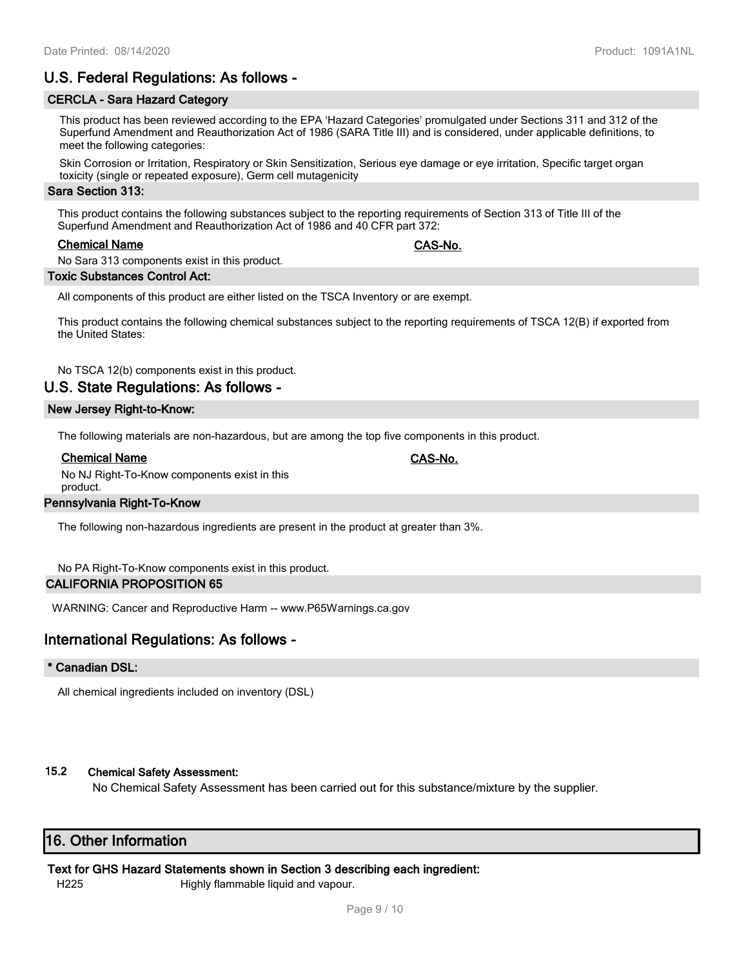# **U.S. Federal Regulations: As follows -**

#### **CERCLA - Sara Hazard Category**

This product has been reviewed according to the EPA 'Hazard Categories' promulgated under Sections 311 and 312 of the Superfund Amendment and Reauthorization Act of 1986 (SARA Title III) and is considered, under applicable definitions, to meet the following categories:

Skin Corrosion or Irritation, Respiratory or Skin Sensitization, Serious eye damage or eye irritation, Specific target organ toxicity (single or repeated exposure), Germ cell mutagenicity

#### **Sara Section 313:**

This product contains the following substances subject to the reporting requirements of Section 313 of Title III of the Superfund Amendment and Reauthorization Act of 1986 and 40 CFR part 372:

#### **Chemical Name CAS-No.**

No Sara 313 components exist in this product.

#### **Toxic Substances Control Act:**

All components of this product are either listed on the TSCA Inventory or are exempt.

This product contains the following chemical substances subject to the reporting requirements of TSCA 12(B) if exported from the United States:

No TSCA 12(b) components exist in this product.

# **U.S. State Regulations: As follows -**

#### **New Jersey Right-to-Know:**

The following materials are non-hazardous, but are among the top five components in this product.

#### **Chemical Name CAS-No.**

No NJ Right-To-Know components exist in this product.

## **Pennsylvania Right-To-Know**

The following non-hazardous ingredients are present in the product at greater than 3%.

No PA Right-To-Know components exist in this product.

## **CALIFORNIA PROPOSITION 65**

WARNING: Cancer and Reproductive Harm -- www.P65Warnings.ca.gov

# **International Regulations: As follows -**

#### **\* Canadian DSL:**

All chemical ingredients included on inventory (DSL)

## **15.2 Chemical Safety Assessment:**

No Chemical Safety Assessment has been carried out for this substance/mixture by the supplier.

# **16. Other Information**

## **Text for GHS Hazard Statements shown in Section 3 describing each ingredient:**

H225 Highly flammable liquid and vapour.